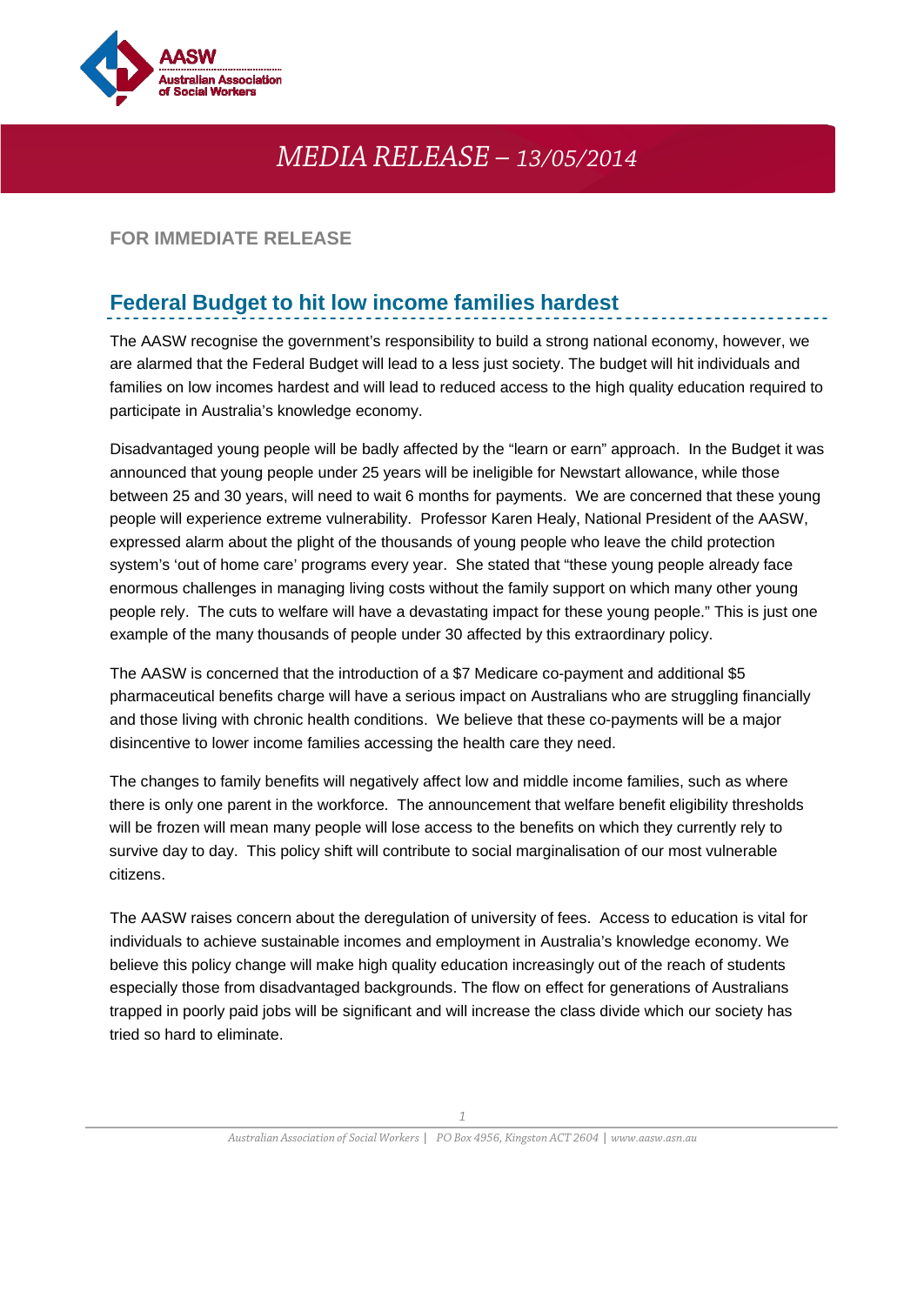

## *MEDIA RELEASE – 13/05/2014*

## **FOR IMMEDIATE RELEASE**

## **Federal Budget to hit low income families hardest**

The AASW recognise the government's responsibility to build a strong national economy, however, we are alarmed that the Federal Budget will lead to a less just society. The budget will hit individuals and families on low incomes hardest and will lead to reduced access to the high quality education required to participate in Australia's knowledge economy.

Disadvantaged young people will be badly affected by the "learn or earn" approach. In the Budget it was announced that young people under 25 years will be ineligible for Newstart allowance, while those between 25 and 30 years, will need to wait 6 months for payments. We are concerned that these young people will experience extreme vulnerability. Professor Karen Healy, National President of the AASW, expressed alarm about the plight of the thousands of young people who leave the child protection system's 'out of home care' programs every year. She stated that "these young people already face enormous challenges in managing living costs without the family support on which many other young people rely. The cuts to welfare will have a devastating impact for these young people." This is just one example of the many thousands of people under 30 affected by this extraordinary policy.

The AASW is concerned that the introduction of a \$7 Medicare co-payment and additional \$5 pharmaceutical benefits charge will have a serious impact on Australians who are struggling financially and those living with chronic health conditions. We believe that these co-payments will be a major disincentive to lower income families accessing the health care they need.

The changes to family benefits will negatively affect low and middle income families, such as where there is only one parent in the workforce. The announcement that welfare benefit eligibility thresholds will be frozen will mean many people will lose access to the benefits on which they currently rely to survive day to day. This policy shift will contribute to social marginalisation of our most vulnerable citizens.

The AASW raises concern about the deregulation of university of fees. Access to education is vital for individuals to achieve sustainable incomes and employment in Australia's knowledge economy. We believe this policy change will make high quality education increasingly out of the reach of students especially those from disadvantaged backgrounds. The flow on effect for generations of Australians trapped in poorly paid jobs will be significant and will increase the class divide which our society has tried so hard to eliminate.